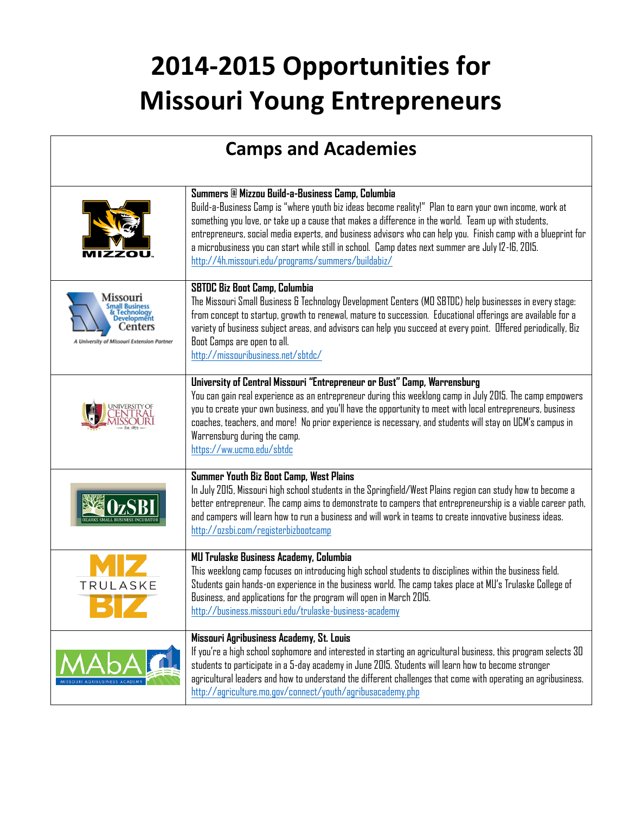## **2014-2015 Opportunities for Missouri Young Entrepreneurs**

| <b>Camps and Academies</b>                                                      |                                                                                                                                                                                                                                                                                                                                                                                                                                                                                                                                               |  |
|---------------------------------------------------------------------------------|-----------------------------------------------------------------------------------------------------------------------------------------------------------------------------------------------------------------------------------------------------------------------------------------------------------------------------------------------------------------------------------------------------------------------------------------------------------------------------------------------------------------------------------------------|--|
|                                                                                 | Summers @ Mizzou Build-a-Business Camp, Columbia<br>Build-a-Business Camp is "where youth biz ideas become reality!" Plan to earn your own income, work at<br>something you love, or take up a cause that makes a difference in the world. Team up with students,<br>entrepreneurs, social media experts, and business advisors who can help you. Finish camp with a blueprint for<br>a microbusiness you can start while still in school. Camp dates next summer are July 12-16, 2015.<br>http://4h.missouri.edu/programs/summers/buildabiz/ |  |
| Missour<br>Developmēnt<br>Centers<br>A University of Missouri Extension Partner | <b>SBTDC Biz Boot Camp, Columbia</b><br>The Missouri Small Business & Technology Development Centers (MD SBTDC) help businesses in every stage:<br>from concept to startup, growth to renewal, mature to succession. Educational offerings are available for a<br>variety of business subject areas, and advisors can help you succeed at every point. Offered periodically, Biz<br>Boot Camps are open to all.<br>http://missouribusiness.net/sbtdc/                                                                                         |  |
|                                                                                 | University of Central Missouri "Entrepreneur or Bust" Camp, Warrensburg<br>You can gain real experience as an entrepreneur during this weeklong camp in July 2015. The camp empowers<br>you to create your own business, and you'll have the opportunity to meet with local entrepreneurs, business<br>coaches, teachers, and more! No prior experience is necessary, and students will stay on UCM's campus in<br>Warrensburg during the camp.<br>https://ww.ucmo.edu/sbtdc                                                                  |  |
|                                                                                 | Summer Youth Biz Boot Camp, West Plains<br>In July 2015, Missouri high school students in the Springfield/West Plains region can study how to become a<br>better entrepreneur. The camp aims to demonstrate to campers that entrepreneurship is a viable career path,<br>and campers will learn how to run a business and will work in teams to create innovative business ideas.<br>http://ozsbi.com/registerbizbootcamp                                                                                                                     |  |
| TRULASKE                                                                        | <b>MU Trulaske Business Academy, Columbia</b><br>This weeklong camp focuses on introducing high school students to disciplines within the business field.<br>Students gain hands-on experience in the business world. The camp takes place at MU's Trulaske College of<br>Business, and applications for the program will open in March 2015.<br>http://business.missouri.edu/trulaske-business-academy                                                                                                                                       |  |
|                                                                                 | Missouri Agribusiness Academy, St. Louis<br>If you're a high school sophomore and interested in starting an agricultural business, this program selects 30<br>students to participate in a 5-day academy in June 2015. Students will learn how to become stronger<br>agricultural leaders and how to understand the different challenges that come with operating an agribusiness.<br>http://agriculture.mo.gov/connect/youth/agribusacademy.php                                                                                              |  |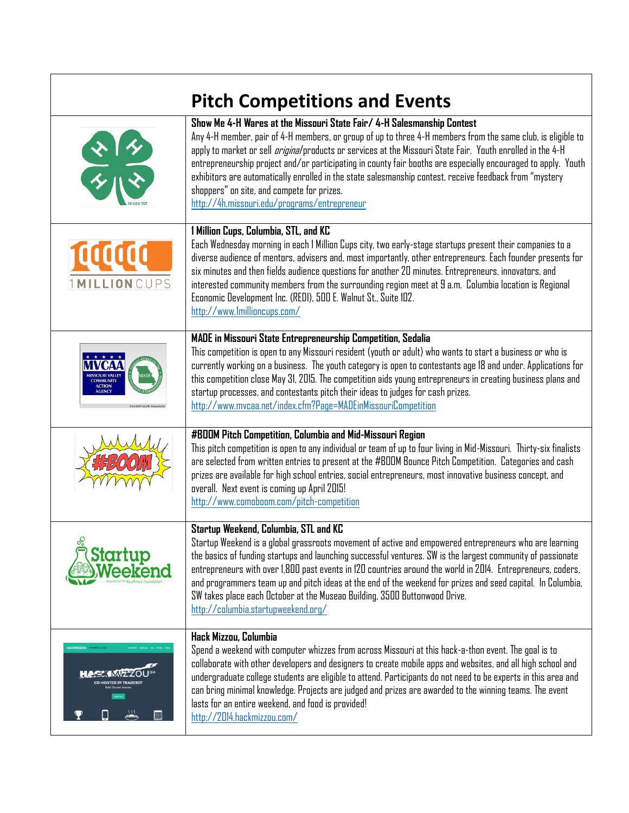| <b>Pitch Competitions and Events</b> |                                                                                                                                                                                                                                                                                                                                                                                                                                                                                                                                                                                                                                       |  |
|--------------------------------------|---------------------------------------------------------------------------------------------------------------------------------------------------------------------------------------------------------------------------------------------------------------------------------------------------------------------------------------------------------------------------------------------------------------------------------------------------------------------------------------------------------------------------------------------------------------------------------------------------------------------------------------|--|
|                                      | Show Me 4-H Wares at the Missouri State Fair/ 4-H Salesmanship Contest<br>Any 4-H member, pair of 4-H members, or group of up to three 4-H members from the same club, is eligible to<br>apply to market or sell <i>original</i> products or services at the Missouri State Fair. Youth enrolled in the 4-H<br>entrepreneurship project and/or participating in county fair booths are especially encouraged to apply. Youth<br>exhibitors are automatically enrolled in the state salesmanship contest, receive feedback from "mystery<br>shoppers" on site, and compete for prizes.<br>http://4h.missouri.edu/programs/entrepreneur |  |
| LLIONCUPS                            | 1 Million Cups, Columbia, STL, and KC<br>Each Wednesday morning in each I Million Cups city, two early-stage startups present their companies to a<br>diverse audience of mentors, advisers and, most importantly, other entrepreneurs. Each founder presents for<br>six minutes and then fields audience questions for another 20 minutes. Entrepreneurs, innovators, and<br>interested community members from the surrounding region meet at 9 a.m. Columbia location is Regional<br>Economic Development Inc. (REDI), 500 E. Walnut St., Suite 102.<br>http://www.lmillioncups.com/                                                |  |
|                                      | MADE in Missouri State Entrepreneurship Competition, Sedalia<br>This competition is open to any Missouri resident (youth or adult) who wants to start a business or who is<br>currently working on a business. The youth category is open to contestants age 18 and under. Applications for<br>this competition close May 31, 2015. The competition aids young entrepreneurs in creating business plans and<br>startup processes, and contestants pitch their ideas to judges for cash prizes.<br>http://www.mvcaa.net/index.cfm?Page=MADEinMissouriCompetition                                                                       |  |
|                                      | #BOOM Pitch Competition, Columbia and Mid-Missouri Region<br>This pitch competition is open to any individual or team of up to four living in Mid-Missouri. Thirty-six finalists<br>are selected from written entries to present at the #BOOM Bounce Pitch Competition. Categories and cash<br>prizes are available for high school entries, social entrepreneurs, most innovative business concept, and<br>overall. Next event is coming up April 2015!<br>http://www.comoboom.com/pitch-competition                                                                                                                                 |  |
| $\infty$<br>Startup                  | Startup Weekend, Columbia, STL and KC<br>Startup Weekend is a global grassroots movement of active and empowered entrepreneurs who are learning<br>the basics of funding startups and launching successful ventures. SW is the largest community of passionate<br>entrepreneurs with over 1,800 past events in 120 countries around the world in 2014. Entrepreneurs, coders,<br>and programmers team up and pitch ideas at the end of the weekend for prizes and seed capital. In Columbia,<br>SW takes place each October at the Museao Building, 3500 Buttonwood Drive.<br>http://columbia.startupweekend.org/                     |  |
| ▦                                    | Hack Mizzou, Columbia<br>Spend a weekend with computer whizzes from across Missouri at this hack-a-thon event. The goal is to<br>collaborate with other developers and designers to create mobile apps and websites, and all high school and<br>undergraduate college students are eligible to attend. Participants do not need to be experts in this area and<br>can bring minimal knowledge. Projects are judged and prizes are awarded to the winning teams. The event<br>lasts for an entire weekend, and food is provided!<br>http://2014.hackmizzou.com/                                                                        |  |